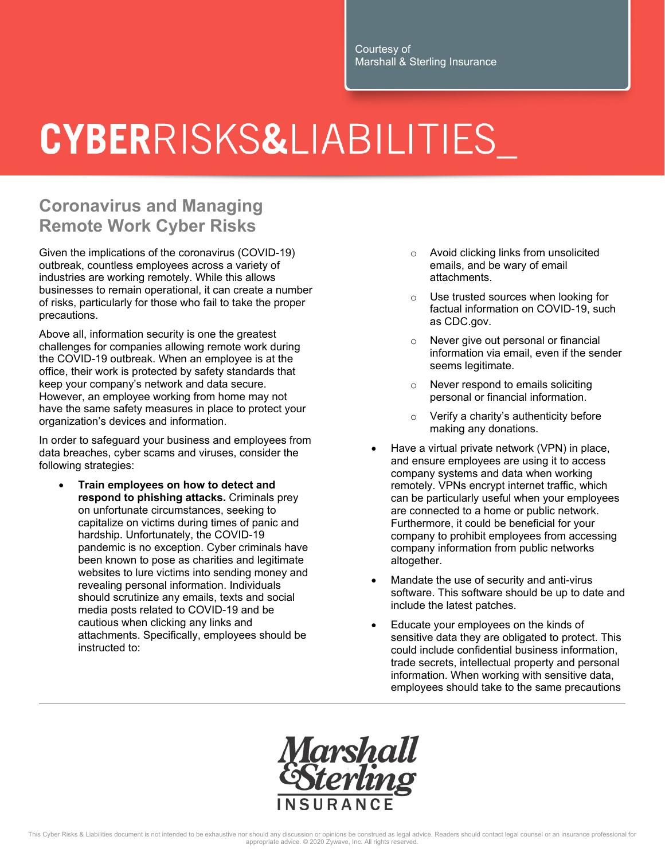## CYBERRISKS&LIABILITIES

## **Coronavirus and Managing Remote Work Cyber Risks**

Given the implications of the coronavirus (COVID-19) outbreak, countless employees across a variety of industries are working remotely. While this allows businesses to remain operational, it can create a number of risks, particularly for those who fail to take the proper precautions.

Above all, information security is one the greatest challenges for companies allowing remote work during the COVID-19 outbreak. When an employee is at the office, their work is protected by safety standards that keep your company's network and data secure. However, an employee working from home may not have the same safety measures in place to protect your organization's devices and information.

In order to safeguard your business and employees from data breaches, cyber scams and viruses, consider the following strategies:

 **Train employees on how to detect and respond to phishing attacks.** Criminals prey on unfortunate circumstances, seeking to capitalize on victims during times of panic and hardship. Unfortunately, the COVID-19 pandemic is no exception. Cyber criminals have been known to pose as charities and legitimate websites to lure victims into sending money and revealing personal information. Individuals should scrutinize any emails, texts and social media posts related to COVID-19 and be cautious when clicking any links and attachments. Specifically, employees should be instructed to:

- o Avoid clicking links from unsolicited emails, and be wary of email attachments.
- o Use trusted sources when looking for factual information on COVID-19, such as CDC.gov.
- Never give out personal or financial information via email, even if the sender seems legitimate.
- o Never respond to emails soliciting personal or financial information.
- o Verify a charity's authenticity before making any donations.
- Have a virtual private network (VPN) in place, and ensure employees are using it to access company systems and data when working remotely. VPNs encrypt internet traffic, which can be particularly useful when your employees are connected to a home or public network. Furthermore, it could be beneficial for your company to prohibit employees from accessing company information from public networks altogether.
- Mandate the use of security and anti-virus software. This software should be up to date and include the latest patches.
- Educate your employees on the kinds of sensitive data they are obligated to protect. This could include confidential business information, trade secrets, intellectual property and personal information. When working with sensitive data, employees should take to the same precautions